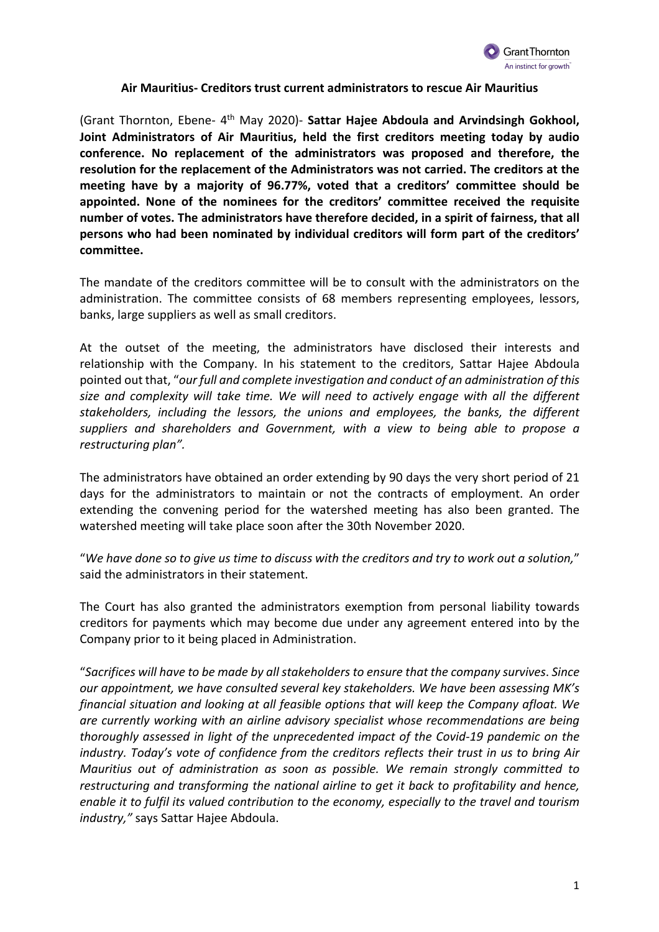

## **Air Mauritius- Creditors trust current administrators to rescue Air Mauritius**

(Grant Thornton, Ebene- 4th May 2020)- **Sattar Hajee Abdoula and Arvindsingh Gokhool, Joint Administrators of Air Mauritius, held the first creditors meeting today by audio conference. No replacement of the administrators was proposed and therefore, the resolution for the replacement of the Administrators was not carried. The creditors at the meeting have by a majority of 96.77%, voted that a creditors' committee should be appointed. None of the nominees for the creditors' committee received the requisite number of votes. The administrators have therefore decided, in a spirit of fairness, that all persons who had been nominated by individual creditors will form part of the creditors' committee.**

The mandate of the creditors committee will be to consult with the administrators on the administration. The committee consists of 68 members representing employees, lessors, banks, large suppliers as well as small creditors.

At the outset of the meeting, the administrators have disclosed their interests and relationship with the Company. In his statement to the creditors, Sattar Hajee Abdoula pointed out that, "*our full and complete investigation and conduct of an administration of this size and complexity will take time. We will need to actively engage with all the different stakeholders, including the lessors, the unions and employees, the banks, the different suppliers and shareholders and Government, with a view to being able to propose a restructuring plan".*

The administrators have obtained an order extending by 90 days the very short period of 21 days for the administrators to maintain or not the contracts of employment. An order extending the convening period for the watershed meeting has also been granted. The watershed meeting will take place soon after the 30th November 2020.

"*We have done so to give us time to discuss with the creditors and try to work out a solution,*" said the administrators in their statement.

The Court has also granted the administrators exemption from personal liability towards creditors for payments which may become due under any agreement entered into by the Company prior to it being placed in Administration.

"*Sacrifices will have to be made by all stakeholders to ensure that the company survives*. *Since our appointment, we have consulted several key stakeholders. We have been assessing MK's financial situation and looking at all feasible options that will keep the Company afloat. We are currently working with an airline advisory specialist whose recommendations are being thoroughly assessed in light of the unprecedented impact of the Covid-19 pandemic on the industry. Today's vote of confidence from the creditors reflects their trust in us to bring Air Mauritius out of administration as soon as possible. We remain strongly committed to restructuring and transforming the national airline to get it back to profitability and hence, enable it to fulfil its valued contribution to the economy, especially to the travel and tourism industry,"* says Sattar Hajee Abdoula.